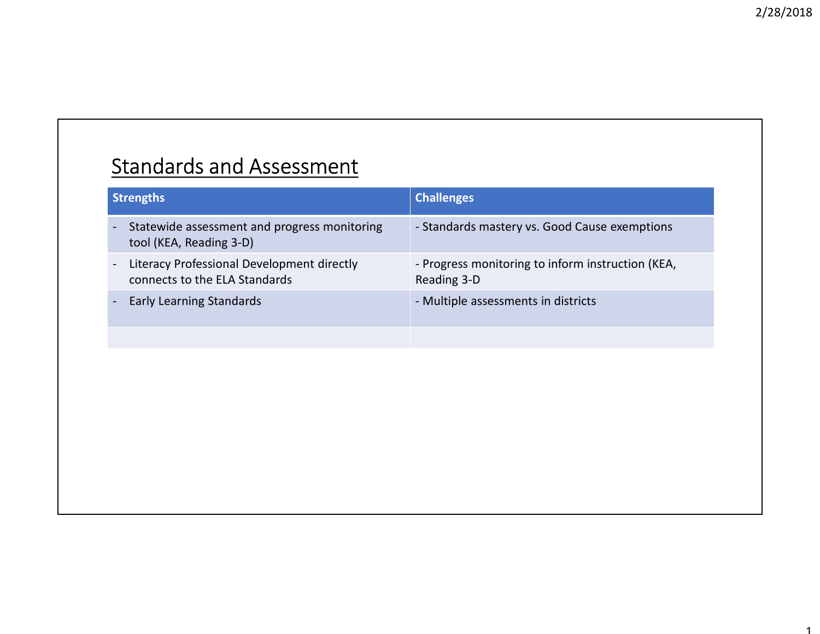### Standards and Assessment

| <b>Standards and Assessment</b>                                             |                                                                  |
|-----------------------------------------------------------------------------|------------------------------------------------------------------|
| <b>Strengths</b>                                                            | <b>Challenges</b>                                                |
| Statewide assessment and progress monitoring<br>tool (KEA, Reading 3-D)     | - Standards mastery vs. Good Cause exemptions                    |
| Literacy Professional Development directly<br>connects to the ELA Standards | - Progress monitoring to inform instruction (KEA,<br>Reading 3-D |
| <b>Early Learning Standards</b>                                             | - Multiple assessments in districts                              |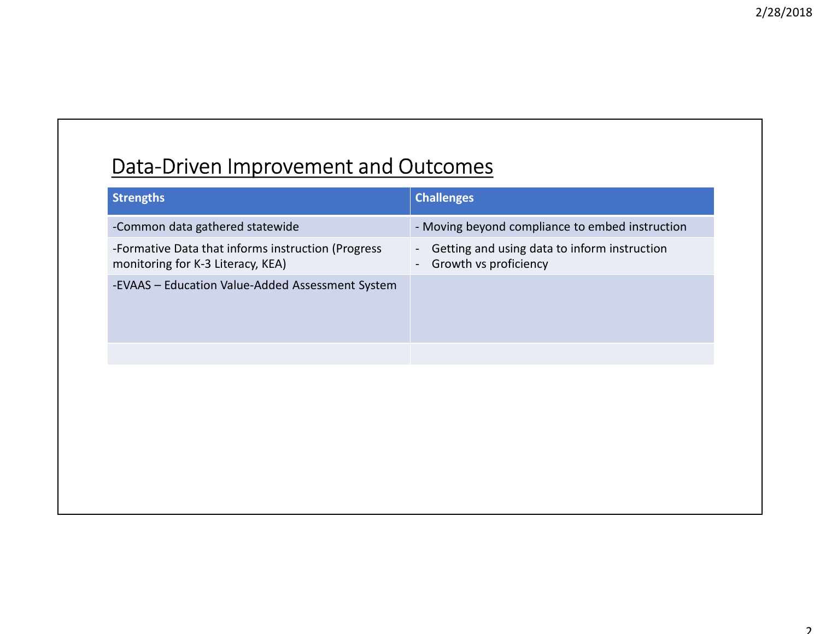#### Data-Driven Improvement and Outcomes

| Data-Driven Improvement and Outcomes                                                    |                                                                                                                     |
|-----------------------------------------------------------------------------------------|---------------------------------------------------------------------------------------------------------------------|
| <b>Strengths</b>                                                                        | <b>Challenges</b>                                                                                                   |
| -Common data gathered statewide                                                         | - Moving beyond compliance to embed instruction                                                                     |
| -Formative Data that informs instruction (Progress<br>monitoring for K-3 Literacy, KEA) | Getting and using data to inform instruction<br>$\blacksquare$<br>Growth vs proficiency<br>$\overline{\phantom{a}}$ |
| -EVAAS - Education Value-Added Assessment System                                        |                                                                                                                     |
|                                                                                         |                                                                                                                     |
|                                                                                         |                                                                                                                     |
|                                                                                         |                                                                                                                     |
|                                                                                         |                                                                                                                     |
|                                                                                         |                                                                                                                     |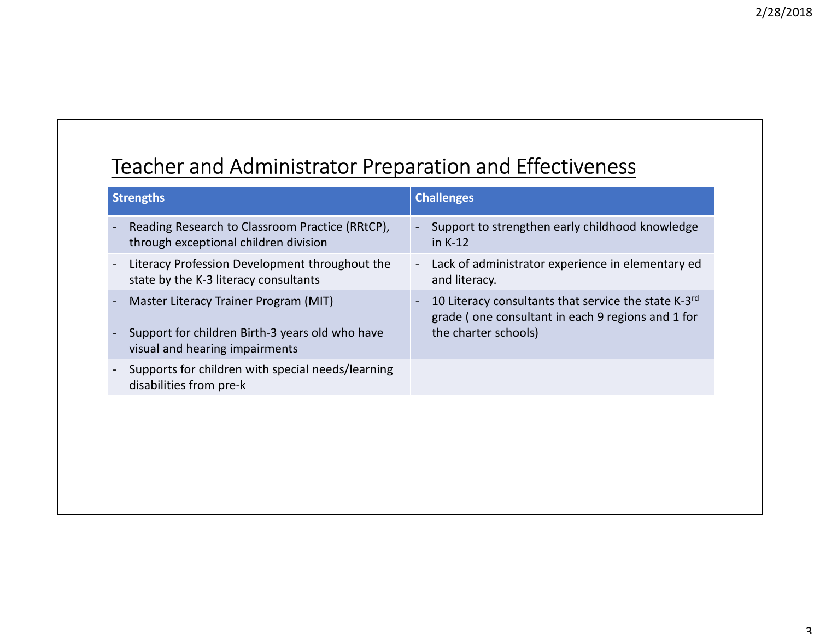#### Teacher and Administrator Preparation and Effectiveness

| Teacher and Administrator Preparation and Effectiveness                                  |                                                                                      |  |
|------------------------------------------------------------------------------------------|--------------------------------------------------------------------------------------|--|
|                                                                                          |                                                                                      |  |
| <b>Strengths</b>                                                                         | <b>Challenges</b>                                                                    |  |
| Reading Research to Classroom Practice (RRtCP),<br>through exceptional children division | Support to strengthen early childhood knowledge<br>in K-12                           |  |
| Literacy Profession Development throughout the<br>state by the K-3 literacy consultants  | Lack of administrator experience in elementary ed<br>$\blacksquare$<br>and literacy. |  |
| Master Literacy Trainer Program (MIT)                                                    | 10 Literacy consultants that service the state K-3rd                                 |  |
| Support for children Birth-3 years old who have<br>visual and hearing impairments        | grade (one consultant in each 9 regions and 1 for<br>the charter schools)            |  |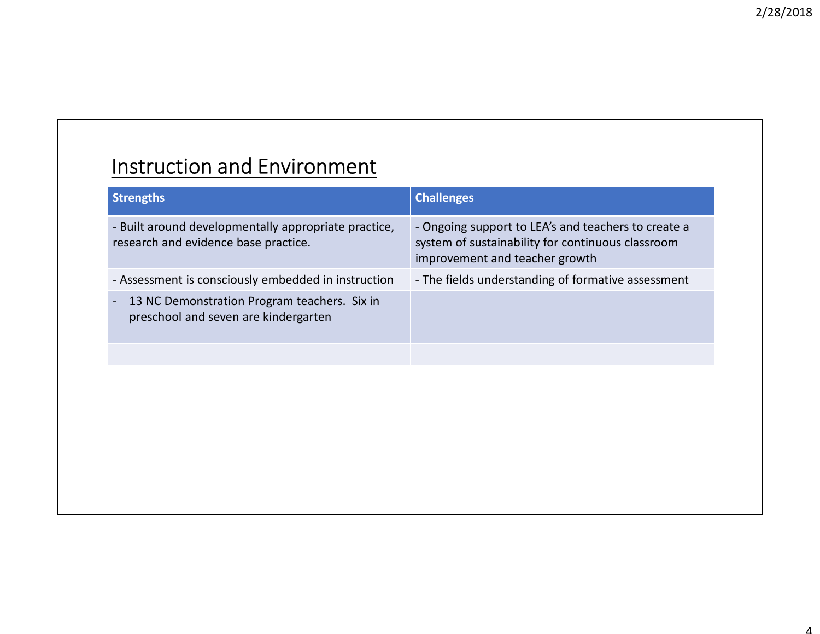# Instruction and Environment

|                                                                                                                                                                                                                                                       |                                                                                                                                            | 2/28/20 |
|-------------------------------------------------------------------------------------------------------------------------------------------------------------------------------------------------------------------------------------------------------|--------------------------------------------------------------------------------------------------------------------------------------------|---------|
|                                                                                                                                                                                                                                                       |                                                                                                                                            |         |
|                                                                                                                                                                                                                                                       |                                                                                                                                            |         |
|                                                                                                                                                                                                                                                       |                                                                                                                                            |         |
| <b>Instruction and Environment</b>                                                                                                                                                                                                                    |                                                                                                                                            |         |
| <b>Strengths</b>                                                                                                                                                                                                                                      | <b>Challenges</b>                                                                                                                          |         |
|                                                                                                                                                                                                                                                       | - Ongoing support to LEA's and teachers to create a<br>system of sustainability for continuous classroom<br>improvement and teacher growth |         |
|                                                                                                                                                                                                                                                       | - The fields understanding of formative assessment                                                                                         |         |
| - Built around developmentally appropriate practice,<br>research and evidence base practice.<br>- Assessment is consciously embedded in instruction<br>13 NC Demonstration Program teachers. Six in<br>$\sim$<br>preschool and seven are kindergarten |                                                                                                                                            |         |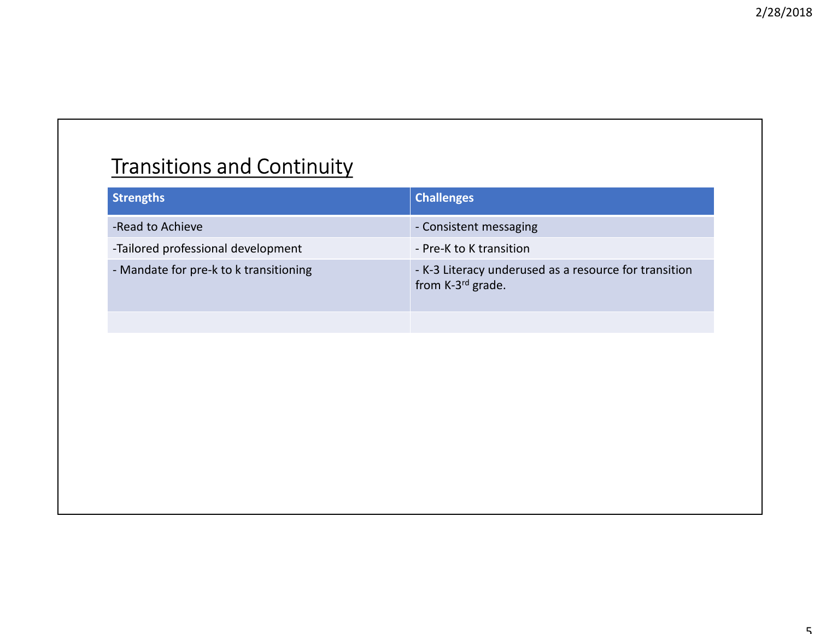## **Transitions and Continuity**

| <b>Transitions and Continuity</b>      |                                                                                        |
|----------------------------------------|----------------------------------------------------------------------------------------|
| <b>Strengths</b>                       | <b>Challenges</b>                                                                      |
| -Read to Achieve                       | - Consistent messaging                                                                 |
| -Tailored professional development     | - Pre-K to K transition                                                                |
| - Mandate for pre-k to k transitioning | - K-3 Literacy underused as a resource for transition<br>from K-3 <sup>rd</sup> grade. |
|                                        |                                                                                        |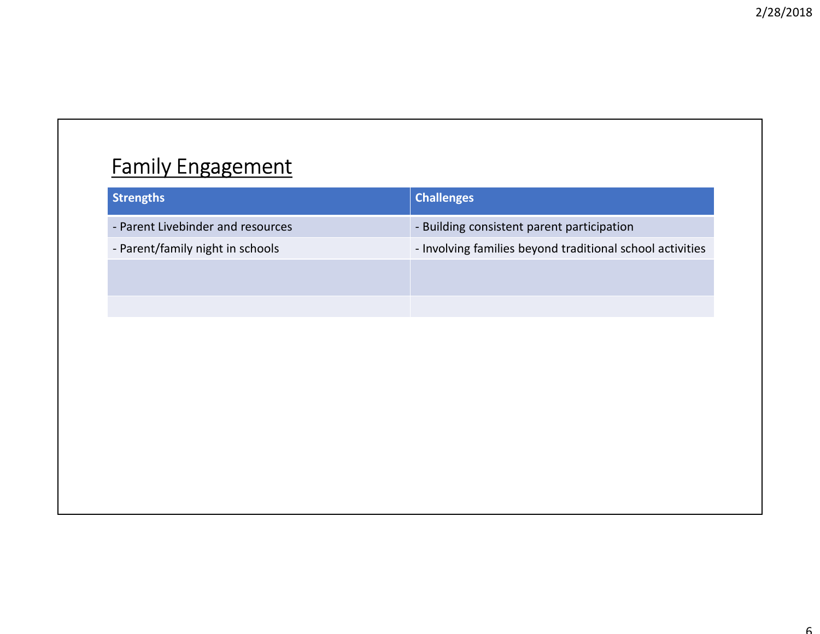## Family Engagement

| <b>Family Engagement</b><br><b>Challenges</b><br><b>Strengths</b><br>- Parent Livebinder and resources<br>- Building consistent parent participation<br>- Parent/family night in schools<br>- Involving families beyond traditional school activities |  | 2/28/201 |
|-------------------------------------------------------------------------------------------------------------------------------------------------------------------------------------------------------------------------------------------------------|--|----------|
|                                                                                                                                                                                                                                                       |  |          |
|                                                                                                                                                                                                                                                       |  |          |
|                                                                                                                                                                                                                                                       |  |          |
|                                                                                                                                                                                                                                                       |  |          |
|                                                                                                                                                                                                                                                       |  |          |
|                                                                                                                                                                                                                                                       |  |          |
|                                                                                                                                                                                                                                                       |  |          |
|                                                                                                                                                                                                                                                       |  |          |
|                                                                                                                                                                                                                                                       |  |          |
|                                                                                                                                                                                                                                                       |  |          |
|                                                                                                                                                                                                                                                       |  |          |
|                                                                                                                                                                                                                                                       |  |          |